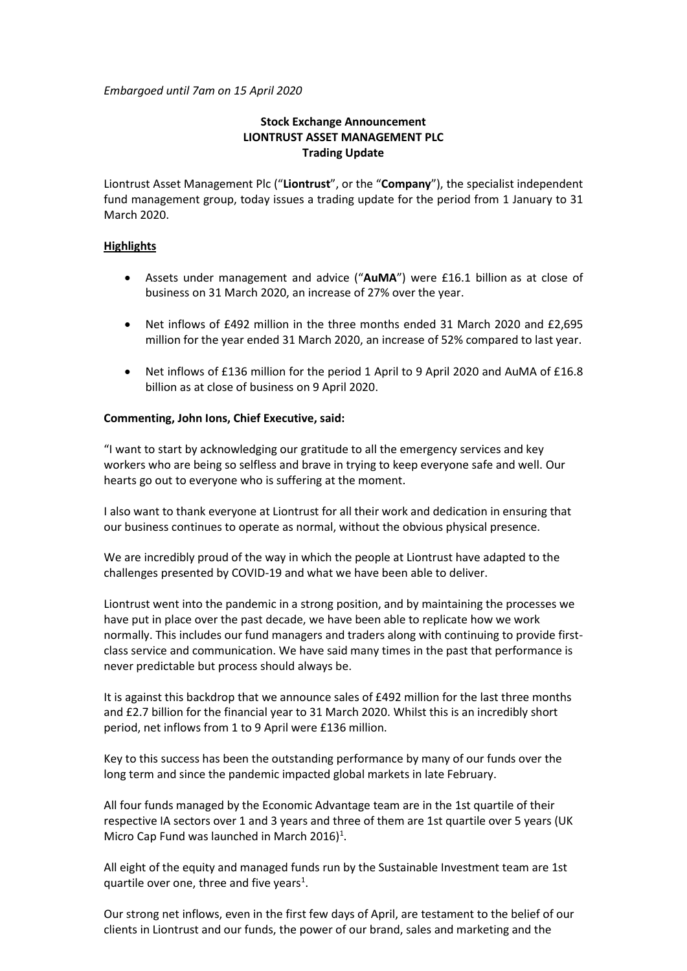*Embargoed until 7am on 15 April 2020*

# **Stock Exchange Announcement LIONTRUST ASSET MANAGEMENT PLC Trading Update**

Liontrust Asset Management Plc ("**Liontrust**", or the "**Company**"), the specialist independent fund management group, today issues a trading update for the period from 1 January to 31 March 2020.

## **Highlights**

- Assets under management and advice ("**AuMA**") were £16.1 billion as at close of business on 31 March 2020, an increase of 27% over the year.
- Net inflows of £492 million in the three months ended 31 March 2020 and £2,695 million for the year ended 31 March 2020, an increase of 52% compared to last year.
- Net inflows of £136 million for the period 1 April to 9 April 2020 and AuMA of £16.8 billion as at close of business on 9 April 2020.

## **Commenting, John Ions, Chief Executive, said:**

"I want to start by acknowledging our gratitude to all the emergency services and key workers who are being so selfless and brave in trying to keep everyone safe and well. Our hearts go out to everyone who is suffering at the moment.

I also want to thank everyone at Liontrust for all their work and dedication in ensuring that our business continues to operate as normal, without the obvious physical presence.

We are incredibly proud of the way in which the people at Liontrust have adapted to the challenges presented by COVID-19 and what we have been able to deliver.

Liontrust went into the pandemic in a strong position, and by maintaining the processes we have put in place over the past decade, we have been able to replicate how we work normally. This includes our fund managers and traders along with continuing to provide firstclass service and communication. We have said many times in the past that performance is never predictable but process should always be.

It is against this backdrop that we announce sales of £492 million for the last three months and £2.7 billion for the financial year to 31 March 2020. Whilst this is an incredibly short period, net inflows from 1 to 9 April were £136 million.

Key to this success has been the outstanding performance by many of our funds over the long term and since the pandemic impacted global markets in late February.

All four funds managed by the Economic Advantage team are in the 1st quartile of their respective IA sectors over 1 and 3 years and three of them are 1st quartile over 5 years (UK Micro Cap Fund was launched in March 2016)<sup>1</sup>.

All eight of the equity and managed funds run by the Sustainable Investment team are 1st quartile over one, three and five years<sup>1</sup>.

Our strong net inflows, even in the first few days of April, are testament to the belief of our clients in Liontrust and our funds, the power of our brand, sales and marketing and the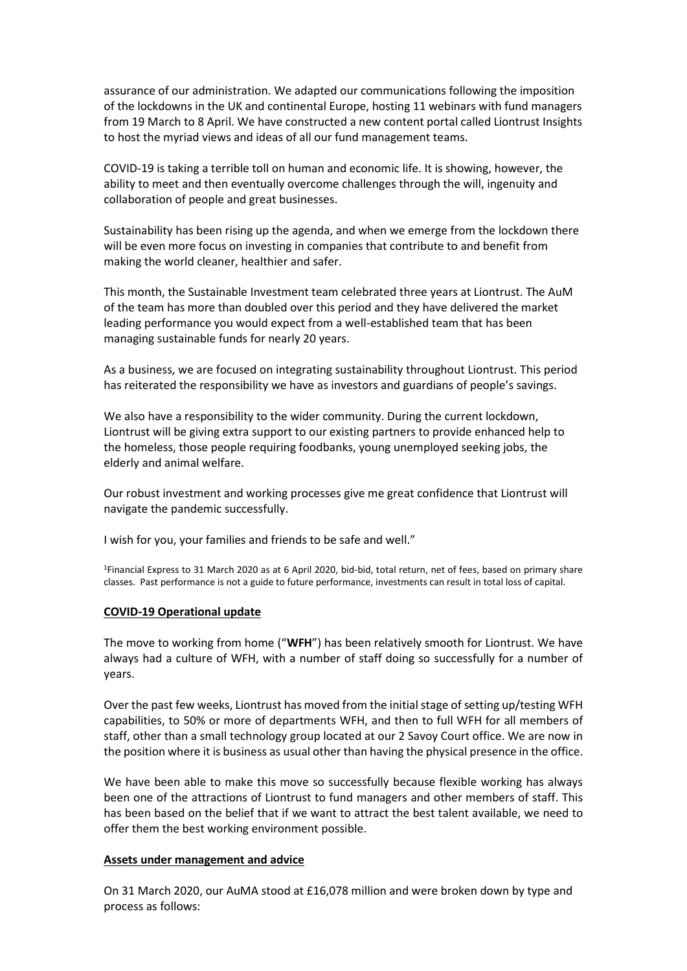assurance of our administration. We adapted our communications following the imposition of the lockdowns in the UK and continental Europe, hosting 11 webinars with fund managers from 19 March to 8 April. We have constructed a new content portal called Liontrust Insights to host the myriad views and ideas of all our fund management teams.

COVID-19 is taking a terrible toll on human and economic life. It is showing, however, the ability to meet and then eventually overcome challenges through the will, ingenuity and collaboration of people and great businesses.

Sustainability has been rising up the agenda, and when we emerge from the lockdown there will be even more focus on investing in companies that contribute to and benefit from making the world cleaner, healthier and safer.

This month, the Sustainable Investment team celebrated three years at Liontrust. The AuM of the team has more than doubled over this period and they have delivered the market leading performance you would expect from a well-established team that has been managing sustainable funds for nearly 20 years.

As a business, we are focused on integrating sustainability throughout Liontrust. This period has reiterated the responsibility we have as investors and guardians of people's savings.

We also have a responsibility to the wider community. During the current lockdown, Liontrust will be giving extra support to our existing partners to provide enhanced help to the homeless, those people requiring foodbanks, young unemployed seeking jobs, the elderly and animal welfare.

Our robust investment and working processes give me great confidence that Liontrust will navigate the pandemic successfully.

I wish for you, your families and friends to be safe and well."

<sup>1</sup>Financial Express to 31 March 2020 as at 6 April 2020, bid-bid, total return, net of fees, based on primary share classes. Past performance is not a guide to future performance, investments can result in total loss of capital.

## **COVID-19 Operational update**

The move to working from home ("**WFH**") has been relatively smooth for Liontrust. We have always had a culture of WFH, with a number of staff doing so successfully for a number of years.

Over the past few weeks, Liontrust has moved from the initial stage of setting up/testing WFH capabilities, to 50% or more of departments WFH, and then to full WFH for all members of staff, other than a small technology group located at our 2 Savoy Court office. We are now in the position where it is business as usual other than having the physical presence in the office.

We have been able to make this move so successfully because flexible working has always been one of the attractions of Liontrust to fund managers and other members of staff. This has been based on the belief that if we want to attract the best talent available, we need to offer them the best working environment possible.

#### **Assets under management and advice**

On 31 March 2020, our AuMA stood at £16,078 million and were broken down by type and process as follows: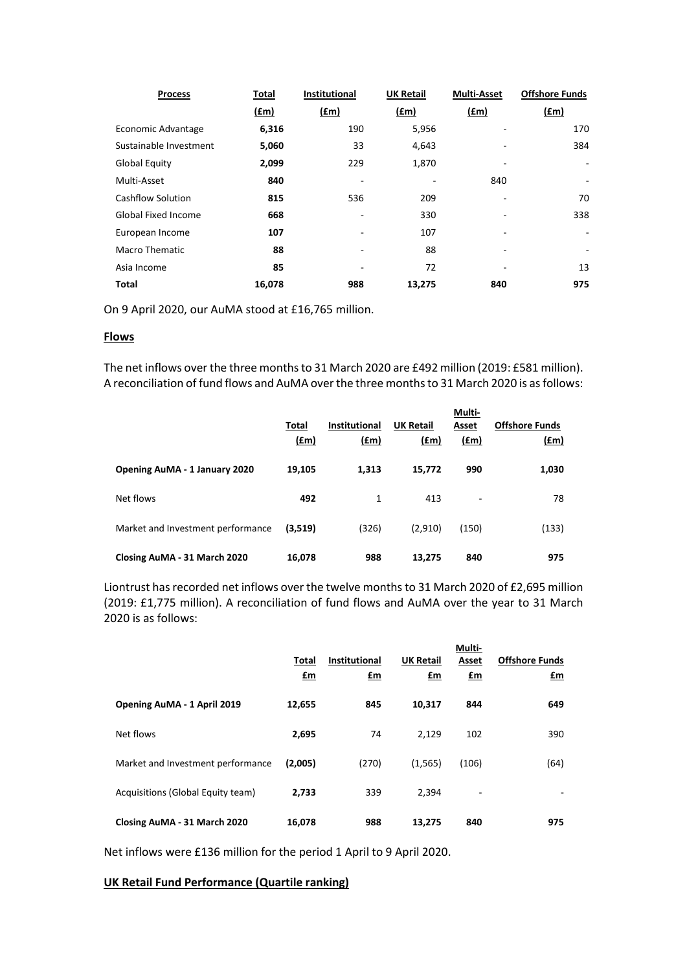| <b>Process</b>             | Total         | Institutional | <b>UK Retail</b> | <b>Multi-Asset</b> | <b>Offshore Funds</b> |
|----------------------------|---------------|---------------|------------------|--------------------|-----------------------|
|                            | $(\text{fm})$ | $(\text{fm})$ | $(\text{fm})$    | $(\text{fm})$      | $(\text{fm})$         |
| Economic Advantage         | 6,316         | 190           | 5,956            |                    | 170                   |
| Sustainable Investment     | 5,060         | 33            | 4,643            |                    | 384                   |
| <b>Global Equity</b>       | 2,099         | 229           | 1,870            |                    |                       |
| Multi-Asset                | 840           |               |                  | 840                | -                     |
| <b>Cashflow Solution</b>   | 815           | 536           | 209              |                    | 70                    |
| <b>Global Fixed Income</b> | 668           |               | 330              |                    | 338                   |
| European Income            | 107           |               | 107              |                    | ۰                     |
| Macro Thematic             | 88            | ۰             | 88               | ٠                  | -                     |
| Asia Income                | 85            |               | 72               | -                  | 13                    |
| Total                      | 16,078        | 988           | 13,275           | 840                | 975                   |

On 9 April 2020, our AuMA stood at £16,765 million.

### **Flows**

The net inflows over the three months to 31 March 2020 are £492 million (2019: £581 million). A reconciliation of fund flows and AuMA over the three monthsto 31 March 2020 is as follows:

|                                      | Total<br><u>(£m)</u> | <b>Institutional</b><br>(f.m) | <b>UK Retail</b><br>(fm) | Multi-<br>Asset<br>$(\text{fm})$ | <b>Offshore Funds</b><br><u>(£m)</u> |
|--------------------------------------|----------------------|-------------------------------|--------------------------|----------------------------------|--------------------------------------|
| <b>Opening AuMA - 1 January 2020</b> | 19,105               | 1,313                         | 15,772                   | 990                              | 1,030                                |
| Net flows                            | 492                  | 1                             | 413                      | $\qquad \qquad -$                | 78                                   |
| Market and Investment performance    | (3,519)              | (326)                         | (2,910)                  | (150)                            | (133)                                |
| Closing AuMA - 31 March 2020         | 16,078               | 988                           | 13,275                   | 840                              | 975                                  |

Liontrust has recorded net inflows over the twelve months to 31 March 2020 of £2,695 million (2019: £1,775 million). A reconciliation of fund flows and AuMA over the year to 31 March 2020 is as follows:

|                                   | Total<br>£m | <b>Institutional</b><br>£m | <b>UK Retail</b><br>£m | Multi-<br>Asset<br>£m | <b>Offshore Funds</b><br>£m |
|-----------------------------------|-------------|----------------------------|------------------------|-----------------------|-----------------------------|
| Opening AuMA - 1 April 2019       | 12,655      | 845                        | 10,317                 | 844                   | 649                         |
| Net flows                         | 2,695       | 74                         | 2,129                  | 102                   | 390                         |
| Market and Investment performance | (2,005)     | (270)                      | (1, 565)               | (106)                 | (64)                        |
| Acquisitions (Global Equity team) | 2,733       | 339                        | 2,394                  | ٠                     |                             |
| Closing AuMA - 31 March 2020      | 16,078      | 988                        | 13,275                 | 840                   | 975                         |

Net inflows were £136 million for the period 1 April to 9 April 2020.

### **UK Retail Fund Performance (Quartile ranking)**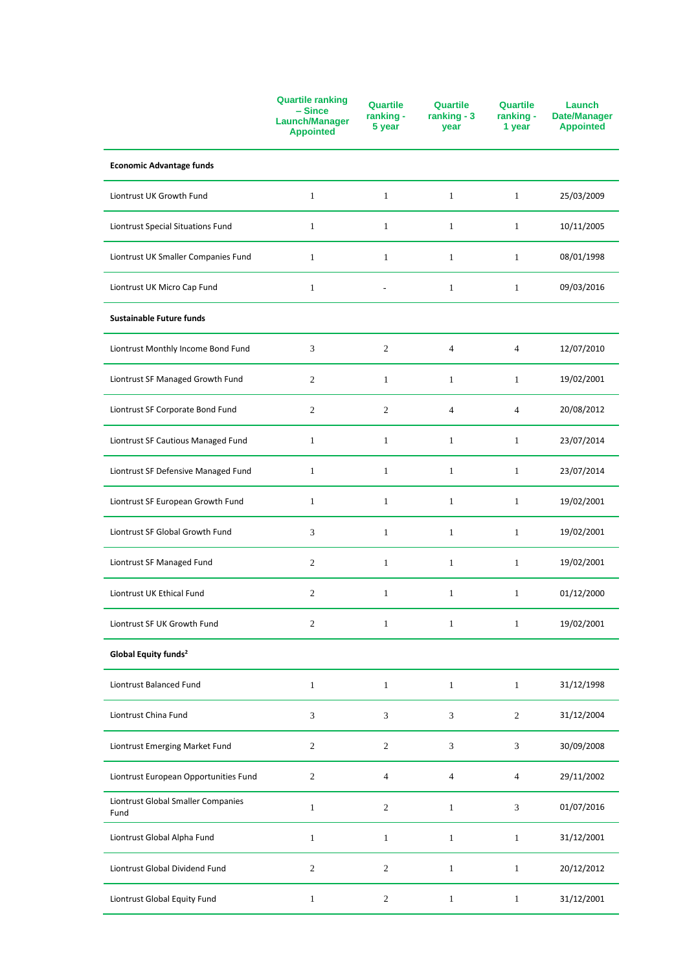|                                            | <b>Quartile ranking</b><br>$-$ Since<br><b>Launch/Manager</b><br><b>Appointed</b> | <b>Quartile</b><br>ranking -<br>5 year | <b>Quartile</b><br>ranking - $3$<br>year | <b>Quartile</b><br>ranking -<br>1 year | Launch<br><b>Date/Manager</b><br><b>Appointed</b> |
|--------------------------------------------|-----------------------------------------------------------------------------------|----------------------------------------|------------------------------------------|----------------------------------------|---------------------------------------------------|
| <b>Economic Advantage funds</b>            |                                                                                   |                                        |                                          |                                        |                                                   |
| Liontrust UK Growth Fund                   | $\mathbf{1}$                                                                      | $\mathbf{1}$                           | $\mathbf{1}$                             | $\mathbf{1}$                           | 25/03/2009                                        |
| Liontrust Special Situations Fund          | $\mathbf{1}$                                                                      | $\mathbf{1}$                           | $\mathbf{1}$                             | $\mathbf{1}$                           | 10/11/2005                                        |
| Liontrust UK Smaller Companies Fund        | $\mathbf{1}$                                                                      | 1                                      | $\mathbf{1}$                             | 1                                      | 08/01/1998                                        |
| Liontrust UK Micro Cap Fund                | $\mathbf{1}$                                                                      |                                        | $\mathbf{1}$                             | $\mathbf{1}$                           | 09/03/2016                                        |
| <b>Sustainable Future funds</b>            |                                                                                   |                                        |                                          |                                        |                                                   |
| Liontrust Monthly Income Bond Fund         | 3                                                                                 | $\sqrt{2}$                             | $\overline{4}$                           | $\overline{4}$                         | 12/07/2010                                        |
| Liontrust SF Managed Growth Fund           | $\overline{c}$                                                                    | $\mathbf{1}$                           | $\mathbf{1}$                             | $\mathbf{1}$                           | 19/02/2001                                        |
| Liontrust SF Corporate Bond Fund           | $\overline{c}$                                                                    | 2                                      | $\overline{4}$                           | $\overline{4}$                         | 20/08/2012                                        |
| Liontrust SF Cautious Managed Fund         | $\mathbf{1}$                                                                      | $\mathbf{1}$                           | $\mathbf{1}$                             | $\mathbf{1}$                           | 23/07/2014                                        |
| Liontrust SF Defensive Managed Fund        | $\mathbf{1}$                                                                      | $\mathbf{1}$                           | $\mathbf{1}$                             | $\mathbf{1}$                           | 23/07/2014                                        |
| Liontrust SF European Growth Fund          | $\mathbf{1}$                                                                      | $\mathbf{1}$                           | $\mathbf{1}$                             | 1                                      | 19/02/2001                                        |
| Liontrust SF Global Growth Fund            | 3                                                                                 | $\mathbf{1}$                           | $\mathbf{1}$                             | $\mathbf{1}$                           | 19/02/2001                                        |
| Liontrust SF Managed Fund                  | $\overline{c}$                                                                    | $\mathbf{1}$                           | $\mathbf{1}$                             | $\mathbf{1}$                           | 19/02/2001                                        |
| Liontrust UK Ethical Fund                  | $\mathfrak{2}$                                                                    | $\mathbf{1}$                           | $\mathbf{1}$                             | $\mathbf{1}$                           | 01/12/2000                                        |
| Liontrust SF UK Growth Fund                | $\boldsymbol{2}$                                                                  | $\mathbf{1}$                           | $\mathbf{1}$                             | $\mathbf{1}$                           | 19/02/2001                                        |
| Global Equity funds <sup>2</sup>           |                                                                                   |                                        |                                          |                                        |                                                   |
| Liontrust Balanced Fund                    | $\mathbf{1}$                                                                      | $\mathbf{1}$                           | $\mathbf{1}$                             | $\mathbf{1}$                           | 31/12/1998                                        |
| Liontrust China Fund                       | $\mathfrak{Z}$                                                                    | 3                                      | 3                                        | $\sqrt{2}$                             | 31/12/2004                                        |
| Liontrust Emerging Market Fund             | $\mathfrak{2}$                                                                    | $\sqrt{2}$                             | 3                                        | $\sqrt{3}$                             | 30/09/2008                                        |
| Liontrust European Opportunities Fund      | $\boldsymbol{2}$                                                                  | 4                                      | 4                                        | $\overline{4}$                         | 29/11/2002                                        |
| Liontrust Global Smaller Companies<br>Fund | $\mathbf{1}$                                                                      | $\sqrt{2}$                             | $\mathbf{1}$                             | 3                                      | 01/07/2016                                        |
| Liontrust Global Alpha Fund                | $\mathbf{1}$                                                                      | $\mathbf{1}$                           | $\mathbf{1}$                             | $\mathbf{1}$                           | 31/12/2001                                        |
| Liontrust Global Dividend Fund             | $\overline{c}$                                                                    | $\overline{c}$                         | $\mathbf{1}$                             | $\mathbf{1}$                           | 20/12/2012                                        |
| Liontrust Global Equity Fund               | $\mathbf{1}$                                                                      | $\sqrt{2}$                             | $\mathbf{1}$                             | $\mathbf{1}$                           | 31/12/2001                                        |
|                                            |                                                                                   |                                        |                                          |                                        |                                                   |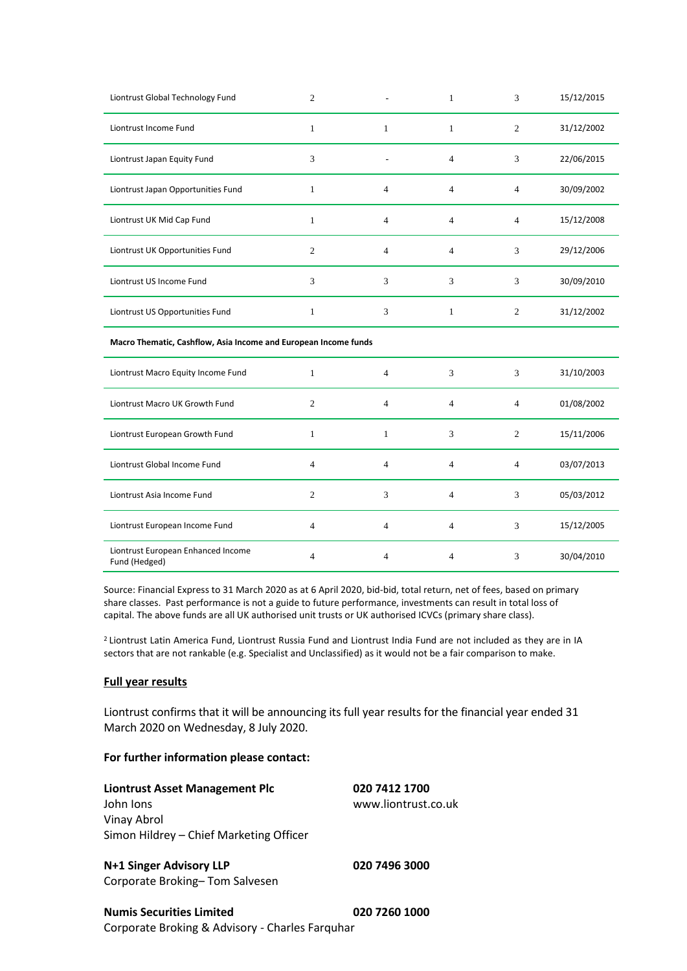| Liontrust Global Technology Fund                                | $\mathfrak{2}$ |                | $\mathbf{1}$   | 3              | 15/12/2015 |
|-----------------------------------------------------------------|----------------|----------------|----------------|----------------|------------|
| Liontrust Income Fund                                           | $\mathbf{1}$   | $\mathbf{1}$   | $\mathbf{1}$   | $\overline{2}$ | 31/12/2002 |
| Liontrust Japan Equity Fund                                     | 3              |                | $\overline{4}$ | 3              | 22/06/2015 |
| Liontrust Japan Opportunities Fund                              | $\mathbf{1}$   | $\overline{4}$ | 4              | $\overline{4}$ | 30/09/2002 |
| Liontrust UK Mid Cap Fund                                       | $\mathbf{1}$   | $\overline{4}$ | 4              | $\overline{4}$ | 15/12/2008 |
| Liontrust UK Opportunities Fund                                 | $\overline{2}$ | $\overline{4}$ | 4              | 3              | 29/12/2006 |
| Liontrust US Income Fund                                        | 3              | 3              | 3              | 3              | 30/09/2010 |
| Liontrust US Opportunities Fund                                 | $\mathbf{1}$   | 3              | $\mathbf{1}$   | 2              | 31/12/2002 |
|                                                                 |                |                |                |                |            |
| Macro Thematic, Cashflow, Asia Income and European Income funds |                |                |                |                |            |
| Liontrust Macro Equity Income Fund                              | $\mathbf{1}$   | $\overline{4}$ | 3              | 3              | 31/10/2003 |
| Liontrust Macro UK Growth Fund                                  | $\overline{2}$ | $\overline{4}$ | $\overline{4}$ | $\overline{4}$ | 01/08/2002 |
| Liontrust European Growth Fund                                  | $\mathbf{1}$   | $\mathbf{1}$   | 3              | $\overline{c}$ | 15/11/2006 |
| Liontrust Global Income Fund                                    | $\overline{4}$ | $\overline{4}$ | $\overline{4}$ | $\overline{4}$ | 03/07/2013 |
| Liontrust Asia Income Fund                                      | $\overline{2}$ | 3              | 4              | 3              | 05/03/2012 |
| Liontrust European Income Fund                                  | 4              | 4              | 4              | 3              | 15/12/2005 |

Source: Financial Express to 31 March 2020 as at 6 April 2020, bid-bid, total return, net of fees, based on primary share classes. Past performance is not a guide to future performance, investments can result in total loss of capital. The above funds are all UK authorised unit trusts or UK authorised ICVCs (primary share class).

<sup>2</sup> Liontrust Latin America Fund, Liontrust Russia Fund and Liontrust India Fund are not included as they are in IA sectors that are not rankable (e.g. Specialist and Unclassified) as it would not be a fair comparison to make.

#### **Full year results**

Liontrust confirms that it will be announcing its full year results for the financial year ended 31 March 2020 on Wednesday, 8 July 2020.

#### **For further information please contact:**

**Liontrust Asset Management Plc 020 7412 1700**  John Ions www.liontrust.co.uk Vinay Abrol Simon Hildrey – Chief Marketing Officer

**N+1 Singer Advisory LLP 020 7496 3000** Corporate Broking– Tom Salvesen

**Numis Securities Limited 020 7260 1000** Corporate Broking & Advisory - Charles Farquhar